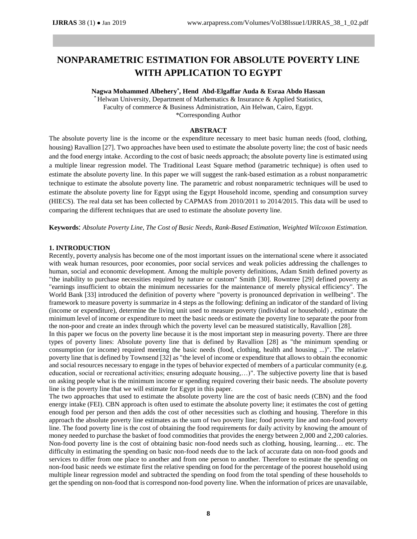# **NONPARAMETRIC ESTIMATION FOR ABSOLUTE POVERTY LINE WITH APPLICATION TO EGYPT**

## **Nagwa Mohammed Albehery \* , Hend Abd-Elgaffar Auda & Esraa Abdo Hassan**

Helwan University, Department of Mathematics & Insurance & Applied Statistics, Faculty of commerce & Business Administration, Ain Helwan, Cairo, Egypt. \*Corresponding Author

#### **ABSTRACT**

The absolute poverty line is the income or the expenditure necessary to meet basic human needs (food, clothing, housing) Ravallion [27]. Two approaches have been used to estimate the absolute poverty line; the cost of basic needs and the food energy intake. According to the cost of basic needs approach; the absolute poverty line is estimated using a multiple linear regression model. The Traditional Least Square method (parametric technique) is often used to estimate the absolute poverty line. In this paper we will suggest the rank-based estimation as a robust nonparametric technique to estimate the absolute poverty line. The parametric and robust nonparametric techniques will be used to estimate the absolute poverty line for Egypt using the Egypt Household income, spending and consumption survey (HIECS). The real data set has been collected by CAPMAS from 2010/2011 to 2014/2015. This data will be used to comparing the different techniques that are used to estimate the absolute poverty line.

**Keywords**: *Absolute Poverty Line, The Cost of Basic Needs, Rank-Based Estimation, Weighted Wilcoxon Estimation.*

#### **1. INTRODUCTION**

Recently, poverty analysis has become one of the most important issues on the international scene where it associated with weak human resources, poor economies, poor social services and weak policies addressing the challenges to human, social and economic development. Among the multiple poverty definitions, Adam Smith defined poverty as "the inability to purchase necessities required by nature or custom" Smith [30]. Rowntree [29] defined poverty as "earnings insufficient to obtain the minimum necessaries for the maintenance of merely physical efficiency". The World Bank [33] introduced the definition of poverty where "poverty is pronounced deprivation in wellbeing". The framework to measure poverty is summarize in 4 steps as the following: defining an indicator of the standard of living (income or expenditure), determine the living unit used to measure poverty (individual or household( , estimate the minimum level of income or expenditure to meet the basic needs or estimate the poverty line to separate the poor from the non-poor and create an index through which the poverty level can be measured statistically, Ravallion [28].

In this paper we focus on the poverty line because it is the most important step in measuring poverty. There are three types of poverty lines: Absolute poverty line that is defined by Ravallion [28] as "the minimum spending or consumption (or income) required meeting the basic needs (food, clothing, health and housing ...)". The relative poverty line that is defined by Townsend [32] as "the level of income or expenditure that allows to obtain the economic and social resources necessary to engage in the types of behavior expected of members of a particular community (e.g. education, social or recreational activities; ensuring adequate housing,…)". The subjective poverty line that is based on asking people what is the minimum income or spending required covering their basic needs. The absolute poverty line is the poverty line that we will estimate for Egypt in this paper.

The two approaches that used to estimate the absolute poverty line are the cost of basic needs (CBN) and the food energy intake (FEI). CBN approach is often used to estimate the absolute poverty line; it estimates the cost of getting enough food per person and then adds the cost of other necessities such as clothing and housing. Therefore in this approach the absolute poverty line estimates as the sum of two poverty line; food poverty line and non-food poverty line. The food poverty line is the cost of obtaining the food requirements for daily activity by knowing the amount of money needed to purchase the basket of food commodities that provides the energy between 2,000 and 2,200 calories. Non-food poverty line is the cost of obtaining basic non-food needs such as clothing, housing, learning… etc. The difficulty in estimating the spending on basic non-food needs due to the lack of accurate data on non-food goods and services to differ from one place to another and from one person to another. Therefore to estimate the spending on non-food basic needs we estimate first the relative spending on food for the percentage of the poorest household using multiple linear regression model and subtracted the spending on food from the total spending of these households to get the spending on non-food that is correspond non-food poverty line. When the information of prices are unavailable,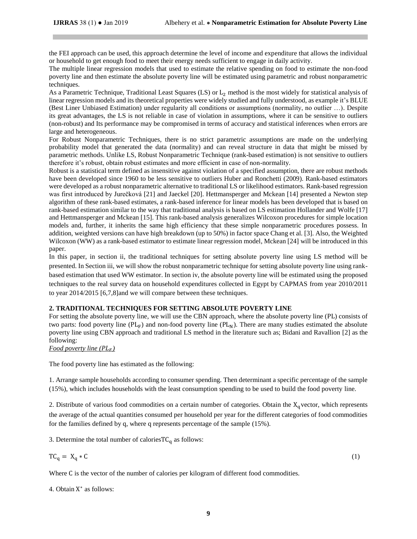the FEI approach can be used, this approach determine the level of income and expenditure that allows the individual or household to get enough food to meet their energy needs sufficient to engage in daily activity.

The multiple linear regression models that used to estimate the relative spending on food to estimate the non-food poverty line and then estimate the absolute poverty line will be estimated using parametric and robust nonparametric techniques.

As a Parametric Technique, Traditional Least Squares (LS) or  $L_2$  method is the most widely for statistical analysis of linear regression models and its theoretical properties were widely studied and fully understood, as example it's BLUE (Best Liner Unbiased Estimation) under regularity all conditions or assumptions (normality, no outlier …). Despite its great advantages, the LS is not reliable in case of violation in assumptions, where it can be sensitive to outliers (non-robust) and Its performance may be compromised in terms of accuracy and statistical inferences when errors are large and heterogeneous.

For Robust Nonparametric Techniques, there is no strict parametric assumptions are made on the underlying probability model that generated the data (normality) and can reveal structure in data that might be missed by parametric methods. Unlike LS, Robust Nonparametric Technique (rank-based estimation) is not sensitive to outliers therefore it's robust, obtain robust estimates and more efficient in case of non-normality.

Robust is a statistical term defined as insensitive against violation of a specified assumption, there are robust methods have been developed since 1960 to be less sensitive to outliers Huber and Ronchetti (2009). Rank-based estimators were developed as a robust nonparametric alternative to traditional LS or likelihood estimators. Rank-based regression was first introduced by Jurečková [21] and Jaeckel [20]. Hettmansperger and Mckean [14] presented a Newton step algorithm of these rank-based estimates, a rank-based inference for linear models has been developed that is based on rank-based estimation similar to the way that traditional analysis is based on LS estimation Hollander and Wolfe [17] and Hettmansperger and Mckean [15]. This rank-based analysis generalizes Wilcoxon procedures for simple location models and, further, it inherits the same high efficiency that these simple nonparametric procedures possess. In addition, weighted versions can have high breakdown (up to 50%) in factor space Chang et al. [3]. Also, the Weighted Wilcoxon (WW) as a rank-based estimator to estimate linear regression model, Mckean [24] will be introduced in this paper.

In this paper, in section ii, the traditional techniques for setting absolute poverty line using LS method will be presented. In Section iii, we will show the robust nonparametric technique for setting absolute poverty line using rankbased estimation that used WW estimator. In section iv, the absolute poverty line will be estimated using the proposed techniques to the real survey data on household expenditures collected in Egypt by CAPMAS from year 2010/2011 to year 2014/2015 [6,7,8]and we will compare between these techniques.

## **2. TRADITIONAL TECHNIQUES FOR SETTING ABSOLUTE POVERTY LINE**

For setting the absolute poverty line, we will use the CBN approach, where the absolute poverty line (PL) consists of two parts: food poverty line  $(PL_F)$  and non-food poverty line  $(PL_N)$ . There are many studies estimated the absolute poverty line using CBN approach and traditional LS method in the literature such as; Bidani and Ravallion [2] as the following:

*Food poverty line*  $(PL_F)$ 

The food poverty line has estimated as the following:

1. Arrange sample households according to consumer spending. Then determinant a specific percentage of the sample (15%), which includes households with the least consumption spending to be used to build the food poverty line.

2. Distribute of various food commodities on a certain number of categories. Obtain the  $X_q$  vector, which represents the average of the actual quantities consumed per household per year for the different categories of food commodities for the families defined by q, where q represents percentage of the sample (15%).

3. Determine the total number of calories  $TC_q$  as follows:

$$
TC_q = X_q * C \tag{1}
$$

Where C is the vector of the number of calories per kilogram of different food commodities.

4. Obtain X ∗ as follows: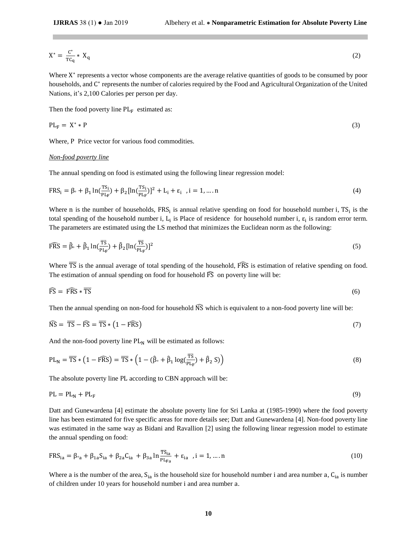$$
X^* = \frac{C^*}{TC_q} * X_q \tag{2}
$$

Where X<sup>\*</sup> represents a vector whose components are the average relative quantities of goods to be consumed by poor households, and C<sup>\*</sup> represents the number of calories required by the Food and Agricultural Organization of the United Nations, it's 2,100 Calories per person per day.

Then the food poverty line  $PL_F$  estimated as:

$$
PL_F = X^* * P \tag{3}
$$

Where, P Price vector for various food commodities.

## *Non-food poverty line*

The annual spending on food is estimated using the following linear regression model:

$$
FRS_i = \beta \cdot + \beta_1 \ln(\frac{TS_i}{PL_F}) + \beta_2 [\ln(\frac{TS_i}{PL_F})]^2 + L_i + \varepsilon_i, \quad i = 1, \dots, n
$$
\n(4)

Where n is the number of households,  $FRS_i$  is annual relative spending on food for household number i,  $TS_i$  is the total spending of the household number i,  $L_i$  is Place of residence for household number i,  $\varepsilon_i$  is random error term. The parameters are estimated using the LS method that minimizes the Euclidean norm as the following:

$$
\widehat{\text{FRS}} = \widehat{\beta}_{\circ} + \widehat{\beta}_{1} \ln(\frac{\overline{\text{TS}}}{p_{\text{L}_{\text{F}}}}) + \widehat{\beta}_{2} [\ln(\frac{\overline{\text{TS}}}{p_{\text{L}_{\text{F}}}})]^{2}
$$
\n
$$
\tag{5}
$$

Where  $\overline{TS}$  is the annual average of total spending of the household, FRS is estimation of relative spending on food. The estimation of annual spending on food for household  $\widehat{FS}$  on poverty line will be:

$$
\widehat{\text{FS}} = \widehat{\text{FRS}} * \overline{\text{TS}} \tag{6}
$$

Then the annual spending on non-food for household  $\widehat{NS}$  which is equivalent to a non-food poverty line will be:

$$
\widehat{\text{NS}} = \overline{\text{TS}} - \widehat{\text{FS}} = \overline{\text{TS}} * (1 - \widehat{\text{FRS}}) \tag{7}
$$

And the non-food poverty line  $PL_N$  will be estimated as follows:

$$
PL_N = \overline{TS} * (1 - F\overline{RS}) = \overline{TS} * (1 - (\hat{\beta}_0 + \hat{\beta}_1 \log(\frac{\overline{TS}}{PL_F}) + \hat{\beta}_2 S))
$$
\n(8)

The absolute poverty line PL according to CBN approach will be:

$$
PL = PL_N + PL_F \tag{9}
$$

Datt and Gunewardena [4] estimate the absolute poverty line for Sri Lanka at (1985-1990) where the food poverty line has been estimated for five specific areas for more details see; Datt and Gunewardena [4]. Non-food poverty line was estimated in the same way as Bidani and Ravallion [2] using the following linear regression model to estimate the annual spending on food:

$$
FRS_{ia} = \beta_{2a} + \beta_{1a} S_{ia} + \beta_{2a} C_{ia} + \beta_{3a} \ln \frac{TS_{ia}}{PL_{Fa}} + \varepsilon_{ia} , i = 1, ..., n
$$
 (10)

Where a is the number of the area,  $S_{ia}$  is the household size for household number i and area number a,  $C_{ia}$  is number of children under 10 years for household number i and area number a.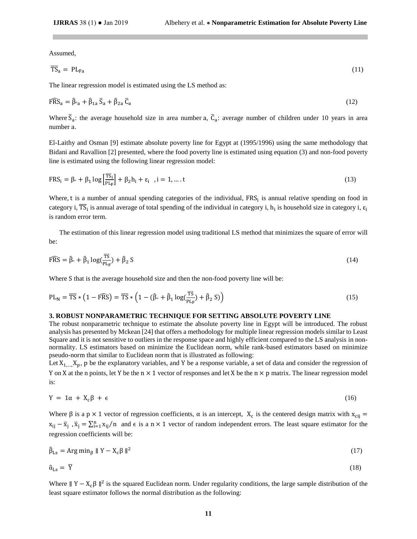Assumed,

$$
\overline{\text{TS}}_a = \text{PL}_{\text{Fa}} \tag{11}
$$

The linear regression model is estimated using the LS method as:

$$
\widehat{\text{FRS}}_a = \widehat{\beta}_{a} + \widehat{\beta}_{1a} \,\overline{S}_a + \widehat{\beta}_{2a} \,\overline{C}_a \tag{12}
$$

Where  $\bar{S}_a$ : the average household size in area number a,  $\bar{C}_a$ : average number of children under 10 years in area number a.

El-Laithy and Osman [9] estimate absolute poverty line for Egypt at (1995/1996) using the same methodology that Bidani and Ravallion [2] presented, where the food poverty line is estimated using equation (3) and non-food poverty line is estimated using the following linear regression model:

$$
FRS_i = \beta \cdot + \beta_1 \log \left[ \frac{\overline{T}S_i}{p_{\text{L}_F}} \right] + \beta_2 h_i + \varepsilon_i, \quad i = 1, \dots, t
$$
\n(13)

Where, t is a number of annual spending categories of the individual,  $FRS<sub>i</sub>$  is annual relative spending on food in category i,  $\overline{TS}_i$  is annual average of total spending of the individual in category i,  $h_i$  is household size in category i,  $\varepsilon_i$ is random error term.

 The estimation of this linear regression model using traditional LS method that minimizes the square of error will be:

$$
\widehat{\text{FRS}} = \widehat{\beta} \cdot + \widehat{\beta}_1 \log(\frac{\overline{\text{TS}}}{p_{\text{LF}}}) + \widehat{\beta}_2 \text{ S}
$$
\n
$$
\tag{14}
$$

Where S that is the average household size and then the non-food poverty line will be:

$$
PL_N = \overline{TS} * (1 - F\overline{RS}) = \overline{TS} * (1 - (\hat{\beta} \cdot + \hat{\beta}_1 \log(\frac{\overline{TS}}{PL_F}) + \hat{\beta}_2 S))
$$
\n(15)

#### **3. ROBUST NONPARAMETRIC TECHNIQUE FOR SETTING ABSOLUTE POVERTY LINE**

The robust nonparametric technique to estimate the absolute poverty line in Egypt will be introduced. The robust analysis has presented by Mckean [24] that offers a methodology for multiple linear regression models similar to Least Square and it is not sensitive to outliers in the response space and highly efficient compared to the LS analysis in nonnormality. LS estimators based on minimize the Euclidean norm, while rank-based estimators based on minimize pseudo-norm that similar to Euclidean norm that is illustrated as following:

Let  $X_1,...,X_n$ , p be the explanatory variables, and Y be a response variable, a set of data and consider the regression of Y on X at the n points, let Y be the n  $\times$  1 vector of responses and let X be the n  $\times$  p matrix. The linear regression model is:

$$
Y = 1\alpha + X_c\beta + \epsilon \tag{16}
$$

Where  $\beta$  is a p × 1 vector of regression coefficients,  $\alpha$  is an intercept,  $X_c$  is the centered design matrix with  $x_{cij}$  =  $x_{ij} - \bar{x}_j$ ,  $\bar{x}_j = \sum_{i=1}^n x_{ij}/n$  and  $\epsilon$  is a n × 1 vector of random independent errors. The least square estimator for the regression coefficients will be:

$$
\hat{\beta}_{\text{Ls}} = \text{Arg min}_{\beta} \parallel Y - X_{\text{c}} \beta \parallel^2 \tag{17}
$$

$$
\hat{\alpha}_{\text{Ls}} = \overline{Y} \tag{18}
$$

Where  $||Y - X_c \beta||^2$  is the squared Euclidean norm. Under regularity conditions, the large sample distribution of the least square estimator follows the normal distribution as the following: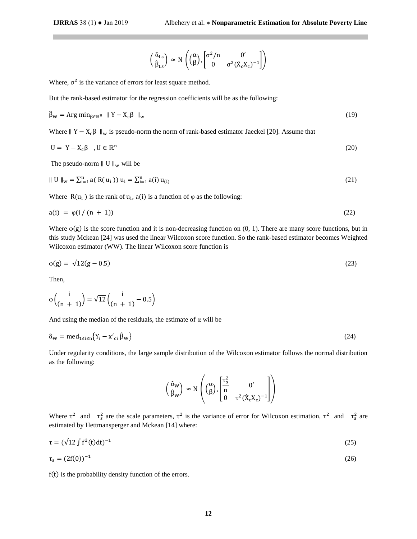$$
\begin{pmatrix} \hat{\alpha}_{\text{Ls}} \\ \hat{\beta}_{\text{Ls}} \end{pmatrix} \approx N \begin{pmatrix} \alpha \\ \beta \end{pmatrix}, \begin{bmatrix} \sigma^2 / n & 0' \\ 0 & \sigma^2 (\hat{X}_c X_c)^{-1} \end{bmatrix}
$$

Where,  $\sigma^2$  is the variance of errors for least square method.

But the rank-based estimator for the regression coefficients will be as the following:

$$
\hat{\beta}_W = \text{Arg min}_{\beta \in \mathbb{R}^n} \quad \| Y - X_c \beta \|_w \tag{19}
$$

Where  $||$  Y – X<sub>c</sub> $\beta$   $||_w$  is pseudo-norm the norm of rank-based estimator Jaeckel [20]. Assume that

$$
U = Y - X_c \beta \quad , U \in \mathbb{R}^n \tag{20}
$$

The pseudo-norm  $\parallel$  U  $\parallel_{\rm w}$  will be

$$
\| \mathbf{U} \|_{\mathbf{w}} = \sum_{i=1}^{n} a(R(u_i)) u_i = \sum_{i=1}^{n} a(i) u_{(i)}
$$
(21)

Where  $R(u_i)$  is the rank of  $u_i$ ,  $a(i)$  is a function of  $\varphi$  as the following:

$$
a(i) = \varphi(i/(n+1)) \tag{22}
$$

Where  $\varphi(g)$  is the score function and it is non-decreasing function on  $(0, 1)$ . There are many score functions, but in this study Mckean [24] was used the linear Wilcoxon score function. So the rank-based estimator becomes Weighted Wilcoxon estimator (WW). The linear Wilcoxon score function is

$$
\varphi(g) = \sqrt{12}(g - 0.5) \tag{23}
$$

Then,

$$
\phi\left(\frac{i}{(n\ +\ 1)}\right)=\sqrt{12}\left(\frac{i}{(n\ +\ 1)}-0.5\right)
$$

And using the median of the residuals, the estimate of  $\alpha$  will be

$$
\hat{\alpha}_W = \text{med}_{1 \le i \le n} \{ Y_i - x'_{ci} \hat{\beta}_W \} \tag{24}
$$

Under regularity conditions, the large sample distribution of the Wilcoxon estimator follows the normal distribution as the following:

$$
\begin{pmatrix} \hat{\alpha}_{W} \\ \hat{\beta}_{W} \end{pmatrix} \approx N \begin{pmatrix} \alpha \\ \beta \end{pmatrix}, \begin{bmatrix} \frac{\tau_{s}^{2}}{n} & 0' \\ 0 & \tau^{2} (\hat{X}_{c} X_{c})^{-1} \end{bmatrix}
$$

Where  $\tau^2$  and  $\tau_s^2$  are the scale parameters,  $\tau^2$  is the variance of error for Wilcoxon estimation,  $\tau^2$  and  $\tau_s^2$  are estimated by Hettmansperger and Mckean [14] where:

$$
\tau = (\sqrt{12} \int f^2(t) dt)^{-1} \tag{25}
$$

$$
\tau_s = (2f(0))^{-1} \tag{26}
$$

f(t) is the probability density function of the errors.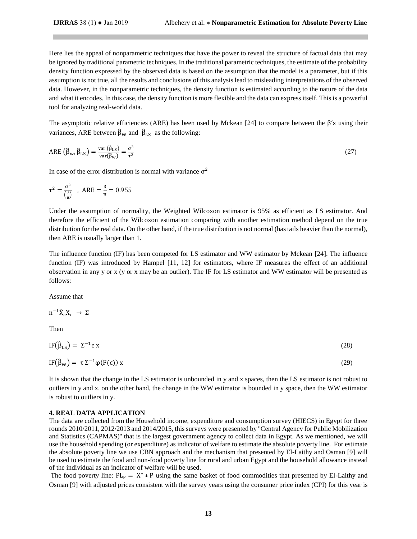Here lies the appeal of nonparametric techniques that have the power to reveal the structure of factual data that may be ignored by traditional parametric techniques. In the traditional parametric techniques, the estimate of the probability density function expressed by the observed data is based on the assumption that the model is a parameter, but if this assumption is not true, all the results and conclusions of this analysis lead to misleading interpretations of the observed data. However, in the nonparametric techniques, the density function is estimated according to the nature of the data and what it encodes. In this case, the density function is more flexible and the data can express itself. This is a powerful tool for analyzing real-world data.

The asymptotic relative efficiencies (ARE) has been used by Mckean [24] to compare between the  $\beta'$ s using their variances, ARE between  $\hat{\beta}_W$  and  $\hat{\beta}_{LS}$  as the following:

$$
ARE\left(\hat{\beta}_{w}, \hat{\beta}_{LS}\right) = \frac{\text{var}\left(\hat{\beta}_{LS}\right)}{\text{var}(\hat{\beta}_{w})} = \frac{\sigma^2}{\tau^2}
$$
\n(27)

In case of the error distribution is normal with variance  $\sigma^2$ 

$$
\tau^2 = \frac{\sigma^2}{\left(\frac{3}{\pi}\right)}
$$
, ARE  $= \frac{3}{\pi} = 0.955$ 

Under the assumption of normality, the Weighted Wilcoxon estimator is 95% as efficient as LS estimator. And therefore the efficient of the Wilcoxon estimation comparing with another estimation method depend on the true distribution for the real data. On the other hand, if the true distribution is not normal (has tails heavier than the normal), then ARE is usually larger than 1.

The influence function (IF) has been competed for LS estimator and WW estimator by Mckean [24]. The influence function (IF) was introduced by Hampel [11, 12] for estimators, where IF measures the effect of an additional observation in any y or x (y or x may be an outlier). The IF for LS estimator and WW estimator will be presented as follows:

## Assume that

$$
n^{-1}\tilde{X}_cX_c\ \to\ \Sigma
$$

Then

$$
IF(\hat{\beta}_{LS}) = \Sigma^{-1} \epsilon x \tag{28}
$$

$$
IF(\hat{\beta}_W) = \tau \Sigma^{-1} \varphi(F(\epsilon)) x
$$
\n(29)

It is shown that the change in the LS estimator is unbounded in y and x spaces, then the LS estimator is not robust to outliers in y and x. on the other hand, the change in the WW estimator is bounded in y space, then the WW estimator is robust to outliers in y.

#### **4. REAL DATA APPLICATION**

The data are collected from the Household income, expenditure and consumption survey (HIECS) in Egypt for three rounds 2010/2011, 2012/2013 and 2014/2015, thissurveys were presented by ''Central Agency for Public Mobilization and Statistics (CAPMAS)'' that is the largest government agency to collect data in Egypt. As we mentioned, we will use the household spending (or expenditure) as indicator of welfare to estimate the absolute poverty line. For estimate the absolute poverty line we use CBN approach and the mechanism that presented by El-Laithy and Osman [9] will be used to estimate the food and non-food poverty line for rural and urban Egypt and the household allowance instead of the individual as an indicator of welfare will be used.

The food poverty line:  $PL_F = X^* * P$  using the same basket of food commodities that presented by El-Laithy and Osman [9] with adjusted prices consistent with the survey years using the consumer price index (CPI) for this year is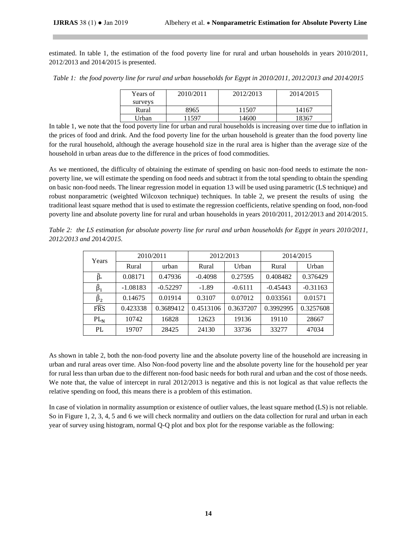estimated. In table 1, the estimation of the food poverty line for rural and urban households in years 2010/2011, 2012/2013 and 2014/2015 is presented.

*Table 1: the food poverty line for rural and urban households for Egypt in 2010/2011, 2012/2013 and 2014/2015*

| Years of | 2010/2011 | 2012/2013 | 2014/2015 |  |
|----------|-----------|-----------|-----------|--|
| surveys  |           |           |           |  |
| Rural    | 8965      | 11507     | 14167     |  |
| Urban    | 11597     | 14600     | 18367     |  |

In table 1, we note that the food poverty line for urban and rural households is increasing over time due to inflation in the prices of food and drink. And the food poverty line for the urban household is greater than the food poverty line for the rural household, although the average household size in the rural area is higher than the average size of the household in urban areas due to the difference in the prices of food commodities.

As we mentioned, the difficulty of obtaining the estimate of spending on basic non-food needs to estimate the nonpoverty line, we will estimate the spending on food needs and subtract it from the total spending to obtain the spending on basic non-food needs. The linear regression model in equation 13 will be used using parametric (LS technique) and robust nonparametric (weighted Wilcoxon technique) techniques. In table 2, we present the results of using the traditional least square method that is used to estimate the regression coefficients, relative spending on food, non-food poverty line and absolute poverty line for rural and urban households in years 2010/2011, 2012/2013 and 2014/2015.

*Table 2: the LS estimation for absolute poverty line for rural and urban households for Egypt in years 2010/2011, 2012/2013 and 2*01*4/2015.*

| Years           | 2010/2011  |            | 2012/2013 |           | 2014/2015  |            |
|-----------------|------------|------------|-----------|-----------|------------|------------|
|                 | Rural      | urban      | Rural     | Urban     | Rural      | Urban      |
| β∘              | 0.08171    | 0.47936    | $-0.4098$ | 0.27595   | 0.408482   | 0.376429   |
| $\hat{\beta}_1$ | $-1.08183$ | $-0.52297$ | $-1.89$   | $-0.6111$ | $-0.45443$ | $-0.31163$ |
| $\hat{\beta}_2$ | 0.14675    | 0.01914    | 0.3107    | 0.07012   | 0.033561   | 0.01571    |
| FRS             | 0.423338   | 0.3689412  | 0.4513106 | 0.3637207 | 0.3992995  | 0.3257608  |
| $PL_{N}$        | 10742      | 16828      | 12623     | 19136     | 19110      | 28667      |
| PL              | 19707      | 28425      | 24130     | 33736     | 33277      | 47034      |

As shown in table 2, both the non-food poverty line and the absolute poverty line of the household are increasing in urban and rural areas over time. Also Non-food poverty line and the absolute poverty line for the household per year for rural less than urban due to the different non-food basic needs for both rural and urban and the cost of those needs. We note that, the value of intercept in rural 2012/2013 is negative and this is not logical as that value reflects the relative spending on food, this means there is a problem of this estimation.

In case of violation in normality assumption or existence of outlier values, the least square method (LS) is not reliable. So in Figure 1, 2, 3, 4, 5 and 6 we will check normality and outliers on the data collection for rural and urban in each year of survey using histogram, normal Q-Q plot and box plot for the response variable as the following: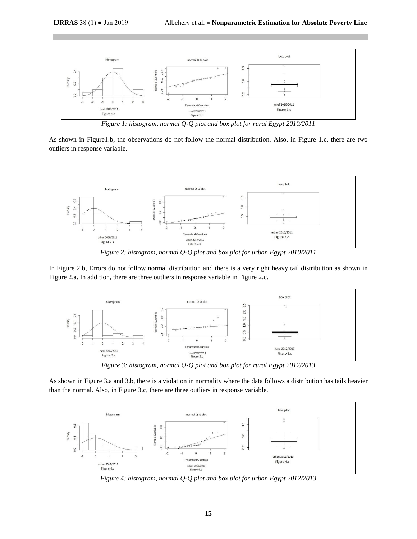

*Figure 1: histogram, normal Q-Q plot and box plot for rural Egypt 2010/2011*

As shown in Figure1.b, the observations do not follow the normal distribution. Also, in Figure 1.c, there are two outliers in response variable.



*Figure 2: histogram, normal Q-Q plot and box plot for urban Egypt 2010/2011*

In Figure 2.b, Errors do not follow normal distribution and there is a very right heavy tail distribution as shown in Figure 2.a. In addition, there are three outliers in response variable in Figure 2.c.



*Figure 3: histogram, normal Q-Q plot and box plot for rural Egypt 2012/2013*

As shown in Figure 3.a and 3.b, there is a violation in normality where the data follows a distribution has tails heavier than the normal. Also, in Figure 3.c, there are three outliers in response variable.



*Figure 4: histogram, normal Q-Q plot and box plot for urban Egypt 2012/2013*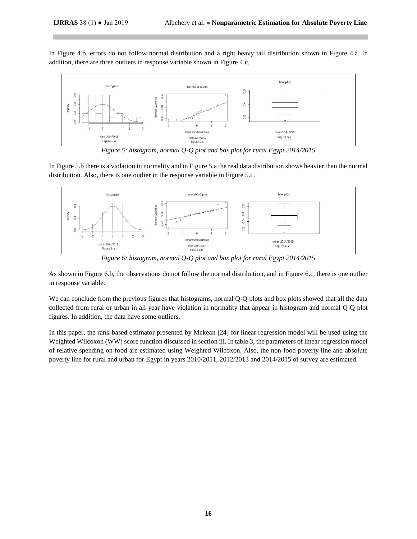In Figure 4.b, errors do not follow normal distribution and a right heavy tail distribution shown in Figure 4.a. In addition, there are three outliers in response variable shown in Figure 4.c.



*Figure 5: histogram, normal Q-Q plot and box plot for rural Egypt 2014/2015*

In Figure 5.b there is a violation in normality and in Figure 5.a the real data distribution shows heavier than the normal distribution. Also, there is one outlier in the response variable in Figure 5.c.



*Figure 6: histogram, normal Q-Q plot and box plot for rural Egypt 2014/2015*

As shown in Figure 6.b, the observations do not follow the normal distribution, and in Figure 6.c. there is one outlier in response variable.

We can conclude from the previous figures that histograms, normal Q-Q plots and box plots showed that all the data collected from rural or urban in all year have violation in normality that appear in histogram and normal Q-Q plot figures. In addition, the data have some outliers.

In this paper, the rank-based estimator presented by Mckean [24] for linear regression model will be used using the Weighted Wilcoxon (WW) score function discussed in section iii. In table 3, the parameters of linear regression model of relative spending on food are estimated using Weighted Wilcoxon. Also, the non-food poverty line and absolute poverty line for rural and urban for Egypt in years 2010/2011, 2012/2013 and 2014/2015 of survey are estimated.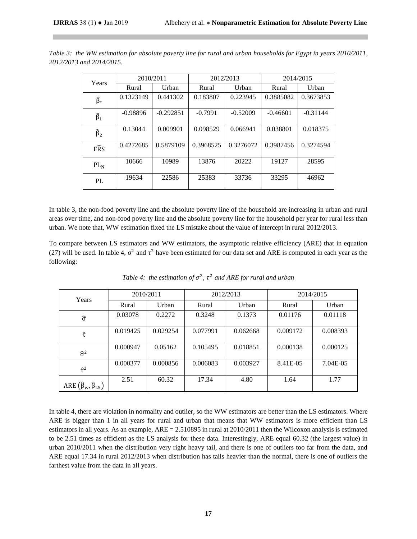| Years               | 2010/2011  |             | 2012/2013 |            | 2014/2015  |            |
|---------------------|------------|-------------|-----------|------------|------------|------------|
|                     | Rural      | Urban       | Rural     | Urban      | Rural      | Urban      |
| ĵ.                  | 0.1323149  | 0.441302    | 0.183807  | 0.223945   | 0.3885082  | 0.3673853  |
| $\widehat{\beta}_1$ | $-0.98896$ | $-0.292851$ | $-0.7991$ | $-0.52009$ | $-0.46601$ | $-0.31144$ |
| $\widehat{\beta}_2$ | 0.13044    | 0.009901    | 0.098529  | 0.066941   | 0.038801   | 0.018375   |
| FRS                 | 0.4272685  | 0.5879109   | 0.3968525 | 0.3276072  | 0.3987456  | 0.3274594  |
| $PL_{N}$            | 10666      | 10989       | 13876     | 20222      | 19127      | 28595      |
| PL.                 | 19634      | 22586       | 25383     | 33736      | 33295      | 46962      |

*Table 3: the WW estimation for absolute poverty line for rural and urban households for Egypt in years 2010/2011, 2012/2013 and 2014/2015.*

In table 3, the non-food poverty line and the absolute poverty line of the household are increasing in urban and rural areas over time, and non-food poverty line and the absolute poverty line for the household per year for rural less than urban. We note that, WW estimation fixed the LS mistake about the value of intercept in rural 2012/2013.

To compare between LS estimators and WW estimators, the asymptotic relative efficiency (ARE) that in equation (27) will be used. In table 4,  $\sigma^2$  and  $\tau^2$  have been estimated for our data set and ARE is computed in each year as the following:

| Years                                   | 2010/2011 |          | 2012/2013 |          | 2014/2015 |          |
|-----------------------------------------|-----------|----------|-----------|----------|-----------|----------|
|                                         | Rural     | Urban    | Rural     | Urban    | Rural     | Urban    |
| $\widehat{\sigma}$                      | 0.03078   | 0.2272   | 0.3248    | 0.1373   | 0.01176   | 0.01118  |
| î                                       | 0.019425  | 0.029254 | 0.077991  | 0.062668 | 0.009172  | 0.008393 |
| $\widehat{\sigma}^2$                    | 0.000947  | 0.05162  | 0.105495  | 0.018851 | 0.000138  | 0.000125 |
| $\hat{\tau}^2$                          | 0.000377  | 0.000856 | 0.006083  | 0.003927 | 8.41E-05  | 7.04E-05 |
| ARE $(\hat{\beta}_w, \hat{\beta}_{LS})$ | 2.51      | 60.32    | 17.34     | 4.80     | 1.64      | 1.77     |

Table 4: the estimation of  $\sigma^2$ ,  $\tau^2$  and ARE for rural and urban

In table 4, there are violation in normality and outlier, so the WW estimators are better than the LS estimators. Where ARE is bigger than 1 in all years for rural and urban that means that WW estimators is more efficient than LS estimators in all years. As an example,  $ARE = 2.510895$  in rural at  $2010/2011$  then the Wilcoxon analysis is estimated to be 2.51 times as efficient as the LS analysis for these data. Interestingly, ARE equal 60.32 (the largest value) in urban 2010/2011 when the distribution very right heavy tail, and there is one of outliers too far from the data, and ARE equal 17.34 in rural 2012/2013 when distribution has tails heavier than the normal, there is one of outliers the farthest value from the data in all years.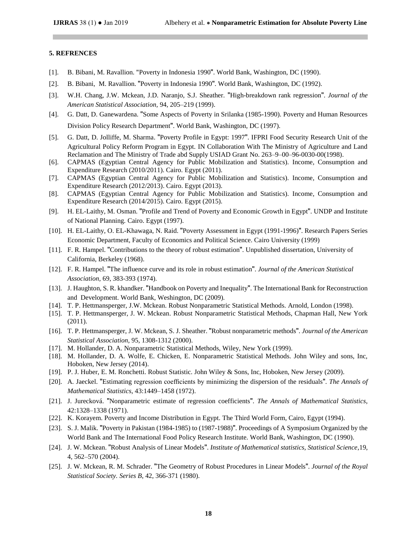## **5. REFRENCES**

- [1]. B. Bibani, M. Ravallion. "Poverty in Indonesia 1990". World Bank, Washington, DC (1990).
- [2]. B. Bibani, M. Ravallion. "Poverty in Indonesia 1990". World Bank, Washington, DC (1992).
- [3]. W.H. Chang, J.W. Mckean, J.D. Naranjo, S.J. Sheather. "High-breakdown rank regression". *Journal of the American Statistical Association,* 94, 205–219 (1999).
- [4]. G. Datt, D. Ganewardena. "Some Aspects of Poverty in Srilanka (1985-1990). Poverty and Human Resources Division Policy Research Department". World Bank, Washington, DC (1997).
- [5]. G. Datt, D. Jolliffe, M. Sharma. "Poverty Profile in Egypt: 1997". IFPRI Food Security Research Unit of the Agricultural Policy Reform Program in Egypt. IN Collaboration With The Ministry of Agriculture and Land Reclamation and The Ministry of Trade abd Supply USIAD Grant No. 263–9–00–96-0030-00(1998).
- [6]. CAPMAS (Egyptian Central Agency for Public Mobilization and Statistics). Income, Consumption and Expenditure Research (2010/2011). Cairo. Egypt (2011).
- [7]. CAPMAS (Egyptian Central Agency for Public Mobilization and Statistics). Income, Consumption and Expenditure Research (2012/2013). Cairo. Egypt (2013).
- [8]. CAPMAS (Egyptian Central Agency for Public Mobilization and Statistics). Income, Consumption and Expenditure Research (2014/2015). Cairo. Egypt (2015).
- [9]. H. EL-Laithy, M. Osman. "Profile and Trend of Poverty and Economic Growth in Egypt". UNDP and Institute of National Planning. Cairo. Egypt (1997).
- [10]. H. EL-Laithy, O. EL-Khawaga, N. Raid. "Poverty Assessment in Egypt (1991-1996)". Research Papers Series Economic Department, Faculty of Economics and Political Science. Cairo University (1999)
- [11]. F. R. Hampel. "Contributions to the theory of robust estimation". Unpublished dissertation, University of California, Berkeley (1968).
- [12]. F. R. Hampel. "The influence curve and its role in robust estimation". *Journal of the American Statistical Association,* 69, 383-393 (1974).
- [13]. J. Haughton, S. R. khandker. "Handbook on Poverty and Inequality". The International Bank for Reconstruction and Development. World Bank, Weshington, DC (2009).
- [14]. T. P. Hettmansperger, J.W. Mckean. Robust Nonparametric Statistical Methods. Arnold, London (1998).
- [15]. T. P. Hettmansperger, J. W. Mckean. Robust Nonparametric Statistical Methods, Chapman Hall, New York (2011).
- [16]. T. P. Hettmansperger, J. W. Mckean, S. J. Sheather. "Robust nonparametric methods". *Journal of the American Statistical Association*, 95, 1308-1312 (2000).
- [17]. M. Hollander, D. A. Nonparametric Statistical Methods, Wiley, New York (1999).
- [18]. M. Hollander, D. A. Wolfe, E. Chicken, E. Nonparametric Statistical Methods. John Wiley and sons, Inc, Hoboken, New Jersey (2014).
- [19]. P. J. Huber, E. M. Ronchetti. Robust Statistic. John Wiley & Sons, Inc, Hoboken, New Jersey (2009).
- [20]. A. Jaeckel. "Estimating regression coefficients by minimizing the dispersion of the residuals". *The Annals of Mathematical Statistics*, 43:1449–1458 (1972).
- [21]. J. Jurecková. "Nonparametric estimate of regression coefficients". *The Annals of Mathematical Statistics*, 42:1328–1338 (1971).
- [22]. K. Korayem. Poverty and Income Distribution in Egypt. The Third World Form, Cairo, Egypt (1994).
- [23]. S. J. Malik. "Poverty in Pakistan (1984-1985) to (1987-1988)". Proceedings of A Symposium Organized by the World Bank and The International Food Policy Research Institute. World Bank, Washington, DC (1990).
- [24]. J. W. Mckean. "Robust Analysis of Linear Models". *Institute of Mathematical statistics, Statistical Science*,19, 4, 562–570 (2004).
- [25]. J. W. Mckean, R. M. Schrader. "The Geometry of Robust Procedures in Linear Models". *Journal of the Royal Statistical Society. Series B*, 42, 366-371 (1980).